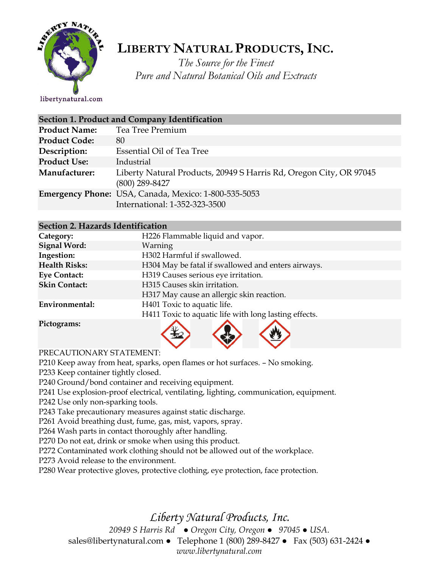

# **LIBERTY NATURAL PRODUCTS,INC.**

*The Source for the Finest Pure and Natural Botanical Oils and Extracts*

libertynatural.com

| Section 1. Product and Company Identification |                                                                                        |  |
|-----------------------------------------------|----------------------------------------------------------------------------------------|--|
| <b>Product Name:</b>                          | Tea Tree Premium                                                                       |  |
| <b>Product Code:</b>                          | 80                                                                                     |  |
| Description:                                  | Essential Oil of Tea Tree                                                              |  |
| <b>Product Use:</b>                           | Industrial                                                                             |  |
| Manufacturer:                                 | Liberty Natural Products, 20949 S Harris Rd, Oregon City, OR 97045<br>$(800)$ 289-8427 |  |
|                                               | Emergency Phone: USA, Canada, Mexico: 1-800-535-5053<br>International: 1-352-323-3500  |  |

#### **Section 2. Hazards Identification**

| Category:              | H226 Flammable liquid and vapor.                      |  |  |
|------------------------|-------------------------------------------------------|--|--|
| <b>Signal Word:</b>    | Warning                                               |  |  |
| Ingestion:             | H302 Harmful if swallowed.                            |  |  |
| <b>Health Risks:</b>   | H304 May be fatal if swallowed and enters airways.    |  |  |
| <b>Eye Contact:</b>    | H319 Causes serious eye irritation.                   |  |  |
| <b>Skin Contact:</b>   | H315 Causes skin irritation.                          |  |  |
|                        | H317 May cause an allergic skin reaction.             |  |  |
| Environmental:         | H401 Toxic to aquatic life.                           |  |  |
|                        | H411 Toxic to aquatic life with long lasting effects. |  |  |
| $\mathbf{D}$ ictograme |                                                       |  |  |

**Pictograms:**

PRECAUTIONARY STATEMENT:

P210 Keep away from heat, sparks, open flames or hot surfaces. – No smoking.

P233 Keep container tightly closed.

P240 Ground/bond container and receiving equipment.

P241 Use explosion-proof electrical, ventilating, lighting, communication, equipment.

P242 Use only non-sparking tools.

P243 Take precautionary measures against static discharge.

P261 Avoid breathing dust, fume, gas, mist, vapors, spray.

P264 Wash parts in contact thoroughly after handling.

P270 Do not eat, drink or smoke when using this product.

P272 Contaminated work clothing should not be allowed out of the workplace.

P273 Avoid release to the environment.

P280 Wear protective gloves, protective clothing, eye protection, face protection.

*Liberty Natural Products, Inc.* 

*20949 S Harris Rd ● Oregon City, Oregon ● 97045 ● USA.*  sales@libertynatural.com *●* Telephone 1 (800) 289-8427 ● Fax (503) 631-2424 *● www.libertynatural.com*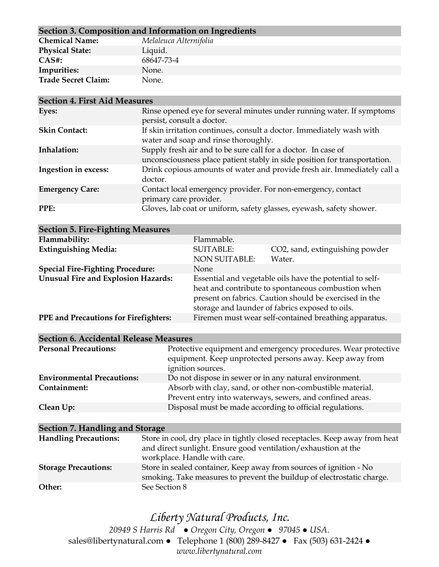| Section 3. Composition and Information on Ingredients |                        |  |
|-------------------------------------------------------|------------------------|--|
| <b>Chemical Name:</b>                                 | Melaleuca Alternifolia |  |
| <b>Physical State:</b>                                | Liquid.                |  |
| $CAS#$ :                                              | 68647-73-4             |  |
| Impurities:                                           | None.                  |  |
| <b>Trade Secret Claim:</b>                            | None.                  |  |

| <b>Section 4. First Aid Measures</b> |                                                                                                                                            |  |
|--------------------------------------|--------------------------------------------------------------------------------------------------------------------------------------------|--|
| Eyes:                                | Rinse opened eye for several minutes under running water. If symptoms<br>persist, consult a doctor.                                        |  |
| <b>Skin Contact:</b>                 | If skin irritation continues, consult a doctor. Immediately wash with<br>water and soap and rinse thoroughly.                              |  |
| Inhalation:                          | Supply fresh air and to be sure call for a doctor. In case of<br>unconsciousness place patient stably in side position for transportation. |  |
| Ingestion in excess:                 | Drink copious amounts of water and provide fresh air. Immediately call a<br>doctor.                                                        |  |
| <b>Emergency Care:</b>               | Contact local emergency provider. For non-emergency, contact<br>primary care provider.                                                     |  |
| PPE:                                 | Gloves, lab coat or uniform, safety glasses, eyewash, safety shower.                                                                       |  |

| <b>Section 5. Fire-Fighting Measures</b>     |                                                                                                                                                                                                                             |                                                       |  |
|----------------------------------------------|-----------------------------------------------------------------------------------------------------------------------------------------------------------------------------------------------------------------------------|-------------------------------------------------------|--|
| Flammability:                                | Flammable.                                                                                                                                                                                                                  |                                                       |  |
| <b>Extinguishing Media:</b>                  | <b>SUITABLE:</b><br><b>NON SUITABLE:</b>                                                                                                                                                                                    | CO2, sand, extinguishing powder<br>Water.             |  |
| <b>Special Fire-Fighting Procedure:</b>      | <b>None</b>                                                                                                                                                                                                                 |                                                       |  |
| <b>Unusual Fire and Explosion Hazards:</b>   | Essential and vegetable oils have the potential to self-<br>heat and contribute to spontaneous combustion when<br>present on fabrics. Caution should be exercised in the<br>storage and launder of fabrics exposed to oils. |                                                       |  |
| <b>PPE and Precautions for Firefighters:</b> |                                                                                                                                                                                                                             | Firemen must wear self-contained breathing apparatus. |  |

| <b>Section 6. Accidental Release Measures</b> |                                                                                                                                                 |  |
|-----------------------------------------------|-------------------------------------------------------------------------------------------------------------------------------------------------|--|
| <b>Personal Precautions:</b>                  | Protective equipment and emergency procedures. Wear protective<br>equipment. Keep unprotected persons away. Keep away from<br>ignition sources. |  |
| <b>Environmental Precautions:</b>             | Do not dispose in sewer or in any natural environment.                                                                                          |  |
| Containment:                                  | Absorb with clay, sand, or other non-combustible material.<br>Prevent entry into waterways, sewers, and confined areas.                         |  |
| Clean Up:                                     | Disposal must be made according to official regulations.                                                                                        |  |

| Section 7. Handling and Storage |                                                                                                                                                                               |  |
|---------------------------------|-------------------------------------------------------------------------------------------------------------------------------------------------------------------------------|--|
| <b>Handling Precautions:</b>    | Store in cool, dry place in tightly closed receptacles. Keep away from heat<br>and direct sunlight. Ensure good ventilation/exhaustion at the<br>workplace. Handle with care. |  |
| <b>Storage Precautions:</b>     | Store in sealed container, Keep away from sources of ignition - No<br>smoking. Take measures to prevent the buildup of electrostatic charge.                                  |  |
| Other:                          | See Section 8                                                                                                                                                                 |  |

## *Liberty Natural Products, Inc.*

*20949 S Harris Rd ● Oregon City, Oregon ● 97045 ● USA.*  sales@libertynatural.com *●* Telephone 1 (800) 289-8427 ● Fax (503) 631-2424 *● www.libertynatural.com*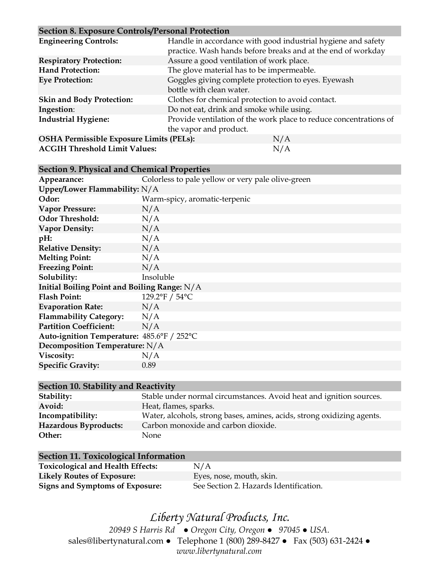#### **Section 8. Exposure Controls/Personal Protection**

| $\sim$ control of Enpression controls and choosing a control of |                                                                   |  |
|-----------------------------------------------------------------|-------------------------------------------------------------------|--|
| <b>Engineering Controls:</b>                                    | Handle in accordance with good industrial hygiene and safety      |  |
|                                                                 | practice. Wash hands before breaks and at the end of workday      |  |
| <b>Respiratory Protection:</b>                                  | Assure a good ventilation of work place.                          |  |
| <b>Hand Protection:</b>                                         | The glove material has to be impermeable.                         |  |
| <b>Eye Protection:</b>                                          | Goggles giving complete protection to eyes. Eyewash               |  |
|                                                                 | bottle with clean water.                                          |  |
| <b>Skin and Body Protection:</b>                                | Clothes for chemical protection to avoid contact.                 |  |
| Ingestion:                                                      | Do not eat, drink and smoke while using.                          |  |
| <b>Industrial Hygiene:</b>                                      | Provide ventilation of the work place to reduce concentrations of |  |
|                                                                 | the vapor and product.                                            |  |
| <b>OSHA Permissible Exposure Limits (PELs):</b>                 | N/A                                                               |  |
| <b>ACGIH Threshold Limit Values:</b>                            | N/A                                                               |  |

**Section 9. Physical and Chemical Properties**

| Appearance:                                  | Colorless to pale yellow or very pale olive-green |  |
|----------------------------------------------|---------------------------------------------------|--|
| Upper/Lower Flammability: N/A                |                                                   |  |
| Odor:                                        | Warm-spicy, aromatic-terpenic                     |  |
| <b>Vapor Pressure:</b>                       | N/A                                               |  |
| <b>Odor Threshold:</b>                       | N/A                                               |  |
| <b>Vapor Density:</b>                        | N/A                                               |  |
| pH:                                          | N/A                                               |  |
| <b>Relative Density:</b>                     | N/A                                               |  |
| <b>Melting Point:</b>                        | N/A                                               |  |
| <b>Freezing Point:</b>                       | N/A                                               |  |
| Solubility:                                  | Insoluble                                         |  |
| Initial Boiling Point and Boiling Range: N/A |                                                   |  |
| <b>Flash Point:</b>                          | 129.2°F / 54°C                                    |  |
| <b>Evaporation Rate:</b>                     | N/A                                               |  |
| <b>Flammability Category:</b>                | N/A                                               |  |
| <b>Partition Coefficient:</b>                | N/A                                               |  |
| Auto-ignition Temperature: 485.6°F / 252°C   |                                                   |  |
| Decomposition Temperature: N/A               |                                                   |  |
| Viscosity:                                   | N/A                                               |  |
| <b>Specific Gravity:</b>                     | 0.89                                              |  |
|                                              |                                                   |  |

| Section 10. Stability and Reactivity |                                                                        |  |
|--------------------------------------|------------------------------------------------------------------------|--|
| Stability:                           | Stable under normal circumstances. Avoid heat and ignition sources.    |  |
| Avoid:                               | Heat, flames, sparks.                                                  |  |
| Incompatibility:                     | Water, alcohols, strong bases, amines, acids, strong oxidizing agents. |  |
| Hazardous Byproducts:                | Carbon monoxide and carbon dioxide.                                    |  |
| Other:                               | None.                                                                  |  |

| Section 11. Toxicological Information    |                                        |
|------------------------------------------|----------------------------------------|
| <b>Toxicological and Health Effects:</b> | N/A                                    |
| <b>Likely Routes of Exposure:</b>        | Eyes, nose, mouth, skin.               |
| Signs and Symptoms of Exposure:          | See Section 2. Hazards Identification. |

*Liberty Natural Products, Inc. 20949 S Harris Rd ● Oregon City, Oregon ● 97045 ● USA.*  sales@libertynatural.com *●* Telephone 1 (800) 289-8427 ● Fax (503) 631-2424 *● www.libertynatural.com*